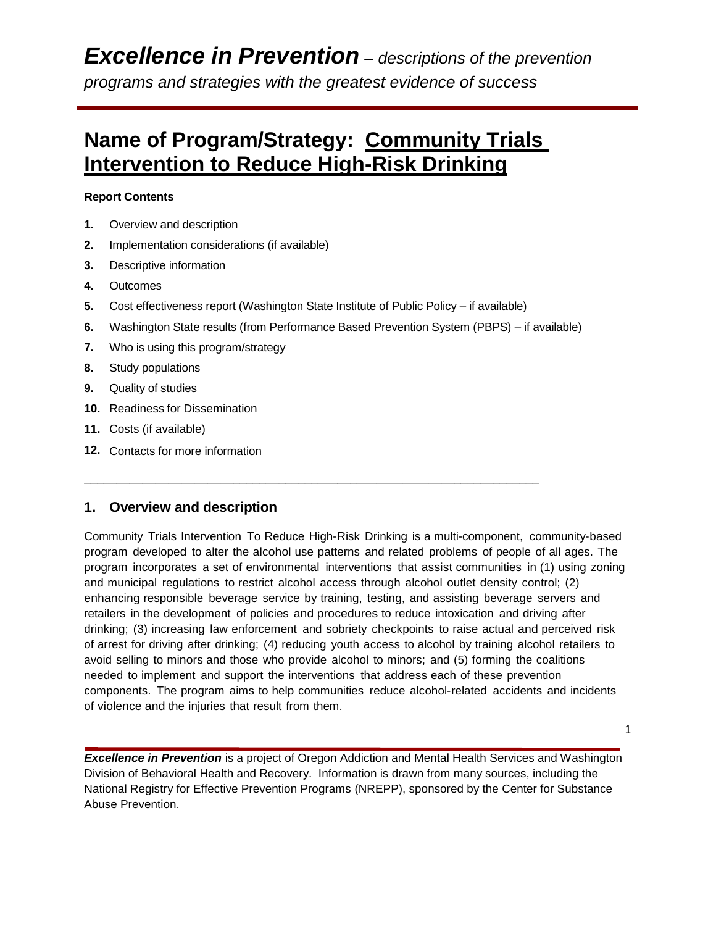### **Name of Program/Strategy: Community Trials Intervention to Reduce High-Risk Drinking**

### **Report Contents**

- **1.** Overview and description
- **2.** Implementation considerations (if available)
- **3.** Descriptive information
- **4.** Outcomes
- **5.** Cost effectiveness report (Washington State Institute of Public Policy if available)

**\_\_\_\_\_\_\_\_\_\_\_\_\_\_\_\_\_\_\_\_\_\_\_\_\_\_\_\_\_\_\_\_\_\_\_\_\_\_\_\_\_\_\_\_\_\_\_\_\_\_\_\_\_\_\_\_\_\_\_\_\_\_\_\_\_\_\_\_\_\_**

- **6.** Washington State results (from Performance Based Prevention System (PBPS) if available)
- **7.** Who is using this program/strategy
- **8.** Study populations
- **9.** Quality of studies
- **10.** Readiness for Dissemination
- **11.** Costs (if available)
- **12.** Contacts for more information

### **1. Overview and description**

Community Trials Intervention To Reduce High-Risk Drinking is a multi-component, community-based program developed to alter the alcohol use patterns and related problems of people of all ages. The program incorporates a set of environmental interventions that assist communities in (1) using zoning and municipal regulations to restrict alcohol access through alcohol outlet density control; (2) enhancing responsible beverage service by training, testing, and assisting beverage servers and retailers in the development of policies and procedures to reduce intoxication and driving after drinking; (3) increasing law enforcement and sobriety checkpoints to raise actual and perceived risk of arrest for driving after drinking; (4) reducing youth access to alcohol by training alcohol retailers to avoid selling to minors and those who provide alcohol to minors; and (5) forming the coalitions needed to implement and support the interventions that address each of these prevention components. The program aims to help communities reduce alcohol-related accidents and incidents of violence and the injuries that result from them.

1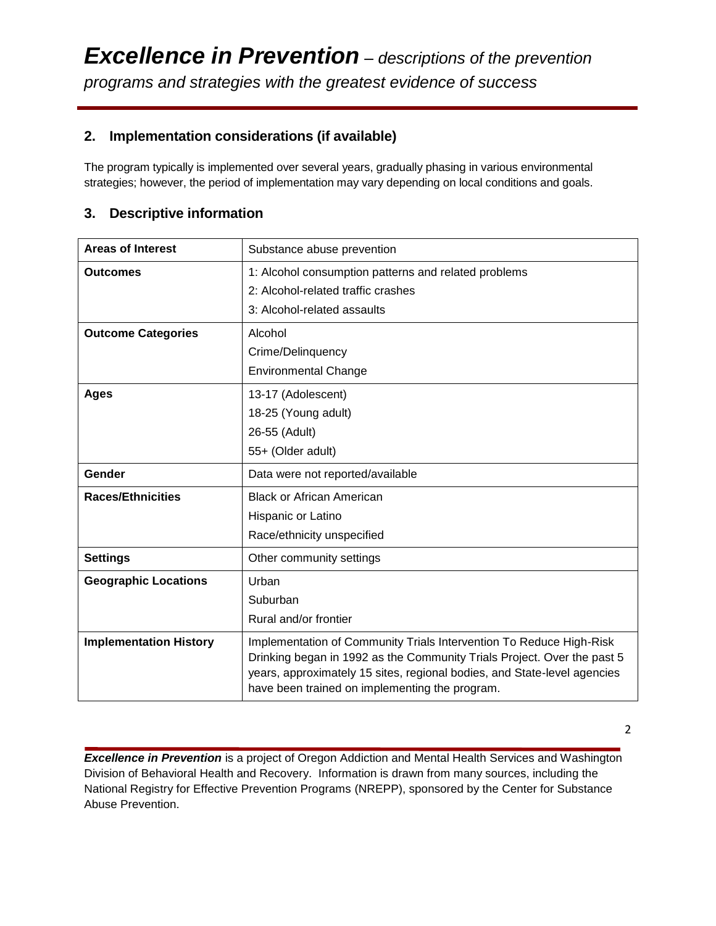### **2. Implementation considerations (if available)**

The program typically is implemented over several years, gradually phasing in various environmental strategies; however, the period of implementation may vary depending on local conditions and goals.

### **3. Descriptive information**

| <b>Areas of Interest</b>      | Substance abuse prevention                                                                                                                                                                                                                                                   |
|-------------------------------|------------------------------------------------------------------------------------------------------------------------------------------------------------------------------------------------------------------------------------------------------------------------------|
| <b>Outcomes</b>               | 1: Alcohol consumption patterns and related problems                                                                                                                                                                                                                         |
|                               | 2: Alcohol-related traffic crashes                                                                                                                                                                                                                                           |
|                               | 3: Alcohol-related assaults                                                                                                                                                                                                                                                  |
| <b>Outcome Categories</b>     | Alcohol                                                                                                                                                                                                                                                                      |
|                               | Crime/Delinquency                                                                                                                                                                                                                                                            |
|                               | <b>Environmental Change</b>                                                                                                                                                                                                                                                  |
| <b>Ages</b>                   | 13-17 (Adolescent)                                                                                                                                                                                                                                                           |
|                               | 18-25 (Young adult)                                                                                                                                                                                                                                                          |
|                               | 26-55 (Adult)                                                                                                                                                                                                                                                                |
|                               | 55+ (Older adult)                                                                                                                                                                                                                                                            |
| Gender                        | Data were not reported/available                                                                                                                                                                                                                                             |
| <b>Races/Ethnicities</b>      | <b>Black or African American</b>                                                                                                                                                                                                                                             |
|                               | Hispanic or Latino                                                                                                                                                                                                                                                           |
|                               | Race/ethnicity unspecified                                                                                                                                                                                                                                                   |
| <b>Settings</b>               | Other community settings                                                                                                                                                                                                                                                     |
| <b>Geographic Locations</b>   | Urban                                                                                                                                                                                                                                                                        |
|                               | Suburban                                                                                                                                                                                                                                                                     |
|                               | Rural and/or frontier                                                                                                                                                                                                                                                        |
| <b>Implementation History</b> | Implementation of Community Trials Intervention To Reduce High-Risk<br>Drinking began in 1992 as the Community Trials Project. Over the past 5<br>years, approximately 15 sites, regional bodies, and State-level agencies<br>have been trained on implementing the program. |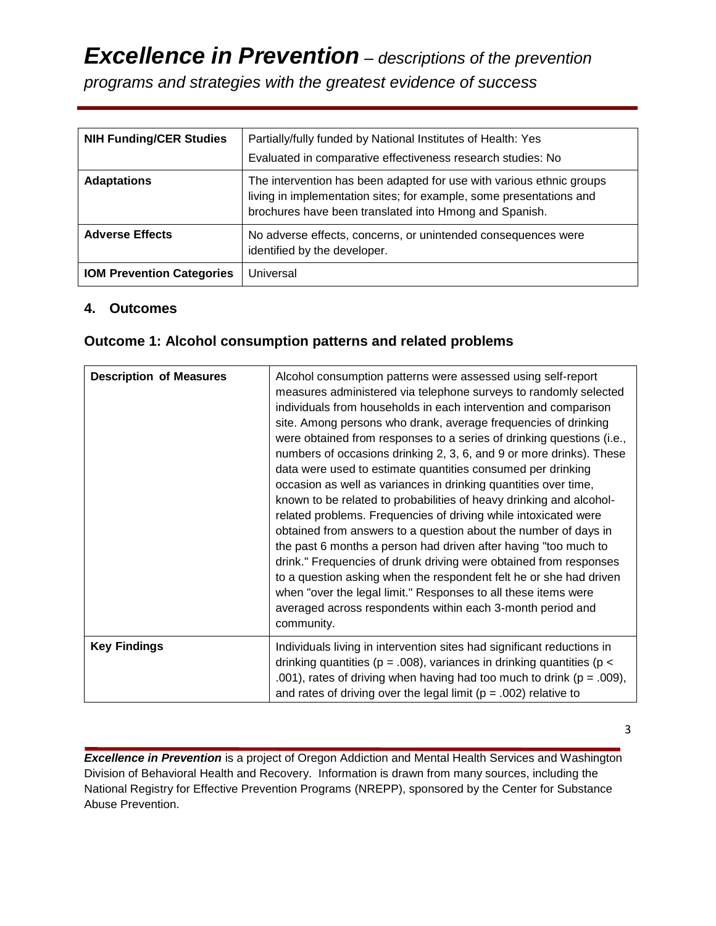*programs and strategies with the greatest evidence of success*

| <b>NIH Funding/CER Studies</b>   | Partially/fully funded by National Institutes of Health: Yes<br>Evaluated in comparative effectiveness research studies: No                                                                           |  |  |  |
|----------------------------------|-------------------------------------------------------------------------------------------------------------------------------------------------------------------------------------------------------|--|--|--|
| <b>Adaptations</b>               | The intervention has been adapted for use with various ethnic groups<br>living in implementation sites; for example, some presentations and<br>brochures have been translated into Hmong and Spanish. |  |  |  |
| <b>Adverse Effects</b>           | No adverse effects, concerns, or unintended consequences were<br>identified by the developer.                                                                                                         |  |  |  |
| <b>IOM Prevention Categories</b> | Universal                                                                                                                                                                                             |  |  |  |

### **4. Outcomes**

### **Outcome 1: Alcohol consumption patterns and related problems**

| <b>Description of Measures</b> | Alcohol consumption patterns were assessed using self-report<br>measures administered via telephone surveys to randomly selected<br>individuals from households in each intervention and comparison<br>site. Among persons who drank, average frequencies of drinking<br>were obtained from responses to a series of drinking questions (i.e.,<br>numbers of occasions drinking 2, 3, 6, and 9 or more drinks). These<br>data were used to estimate quantities consumed per drinking<br>occasion as well as variances in drinking quantities over time,<br>known to be related to probabilities of heavy drinking and alcohol-<br>related problems. Frequencies of driving while intoxicated were<br>obtained from answers to a question about the number of days in<br>the past 6 months a person had driven after having "too much to<br>drink." Frequencies of drunk driving were obtained from responses<br>to a question asking when the respondent felt he or she had driven<br>when "over the legal limit." Responses to all these items were<br>averaged across respondents within each 3-month period and<br>community. |
|--------------------------------|----------------------------------------------------------------------------------------------------------------------------------------------------------------------------------------------------------------------------------------------------------------------------------------------------------------------------------------------------------------------------------------------------------------------------------------------------------------------------------------------------------------------------------------------------------------------------------------------------------------------------------------------------------------------------------------------------------------------------------------------------------------------------------------------------------------------------------------------------------------------------------------------------------------------------------------------------------------------------------------------------------------------------------------------------------------------------------------------------------------------------------|
| <b>Key Findings</b>            | Individuals living in intervention sites had significant reductions in<br>drinking quantities ( $p = .008$ ), variances in drinking quantities ( $p <$<br>.001), rates of driving when having had too much to drink ( $p = .009$ ),<br>and rates of driving over the legal limit ( $p = .002$ ) relative to                                                                                                                                                                                                                                                                                                                                                                                                                                                                                                                                                                                                                                                                                                                                                                                                                      |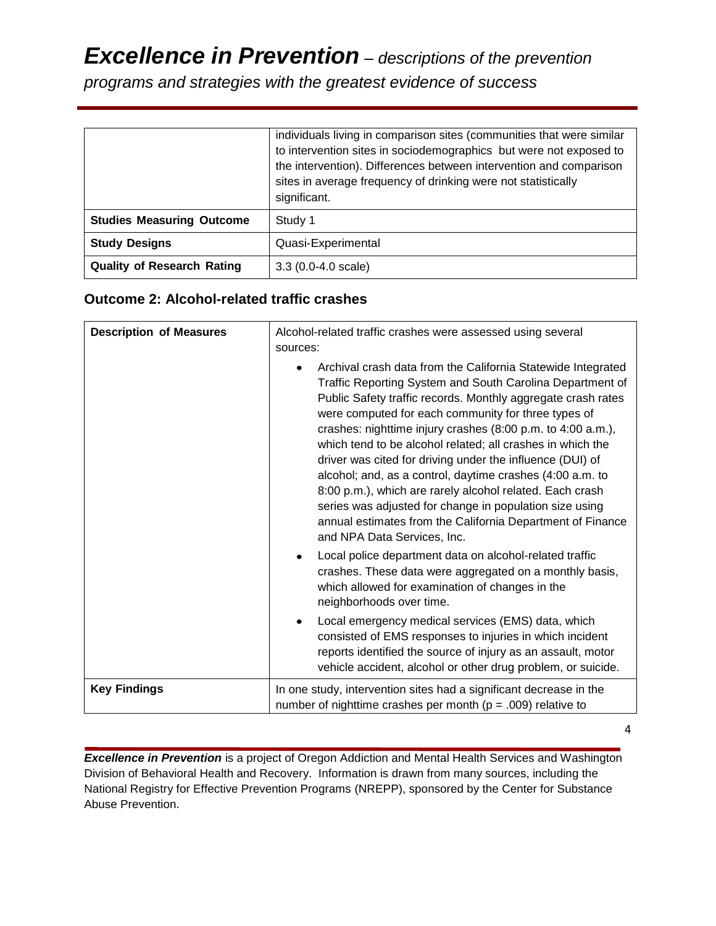*programs and strategies with the greatest evidence of success*

|                                   | individuals living in comparison sites (communities that were similar<br>to intervention sites in sociodemographics but were not exposed to<br>the intervention). Differences between intervention and comparison<br>sites in average frequency of drinking were not statistically<br>significant. |  |
|-----------------------------------|----------------------------------------------------------------------------------------------------------------------------------------------------------------------------------------------------------------------------------------------------------------------------------------------------|--|
| <b>Studies Measuring Outcome</b>  | Study 1                                                                                                                                                                                                                                                                                            |  |
| <b>Study Designs</b>              | Quasi-Experimental                                                                                                                                                                                                                                                                                 |  |
| <b>Quality of Research Rating</b> | $3.3(0.0-4.0 scale)$                                                                                                                                                                                                                                                                               |  |

### **Outcome 2: Alcohol-related traffic crashes**

| <b>Description of Measures</b> | Alcohol-related traffic crashes were assessed using several<br>sources:                                                                                                                                                                                                                                                                                                                                                                                                                                                                                                                                                                                                                                                     |
|--------------------------------|-----------------------------------------------------------------------------------------------------------------------------------------------------------------------------------------------------------------------------------------------------------------------------------------------------------------------------------------------------------------------------------------------------------------------------------------------------------------------------------------------------------------------------------------------------------------------------------------------------------------------------------------------------------------------------------------------------------------------------|
|                                | Archival crash data from the California Statewide Integrated<br>Traffic Reporting System and South Carolina Department of<br>Public Safety traffic records. Monthly aggregate crash rates<br>were computed for each community for three types of<br>crashes: nighttime injury crashes (8:00 p.m. to 4:00 a.m.),<br>which tend to be alcohol related; all crashes in which the<br>driver was cited for driving under the influence (DUI) of<br>alcohol; and, as a control, daytime crashes (4:00 a.m. to<br>8:00 p.m.), which are rarely alcohol related. Each crash<br>series was adjusted for change in population size using<br>annual estimates from the California Department of Finance<br>and NPA Data Services, Inc. |
|                                | Local police department data on alcohol-related traffic<br>crashes. These data were aggregated on a monthly basis,<br>which allowed for examination of changes in the<br>neighborhoods over time.                                                                                                                                                                                                                                                                                                                                                                                                                                                                                                                           |
|                                | Local emergency medical services (EMS) data, which<br>consisted of EMS responses to injuries in which incident<br>reports identified the source of injury as an assault, motor<br>vehicle accident, alcohol or other drug problem, or suicide.                                                                                                                                                                                                                                                                                                                                                                                                                                                                              |
| <b>Key Findings</b>            | In one study, intervention sites had a significant decrease in the<br>number of nighttime crashes per month ( $p = .009$ ) relative to                                                                                                                                                                                                                                                                                                                                                                                                                                                                                                                                                                                      |

4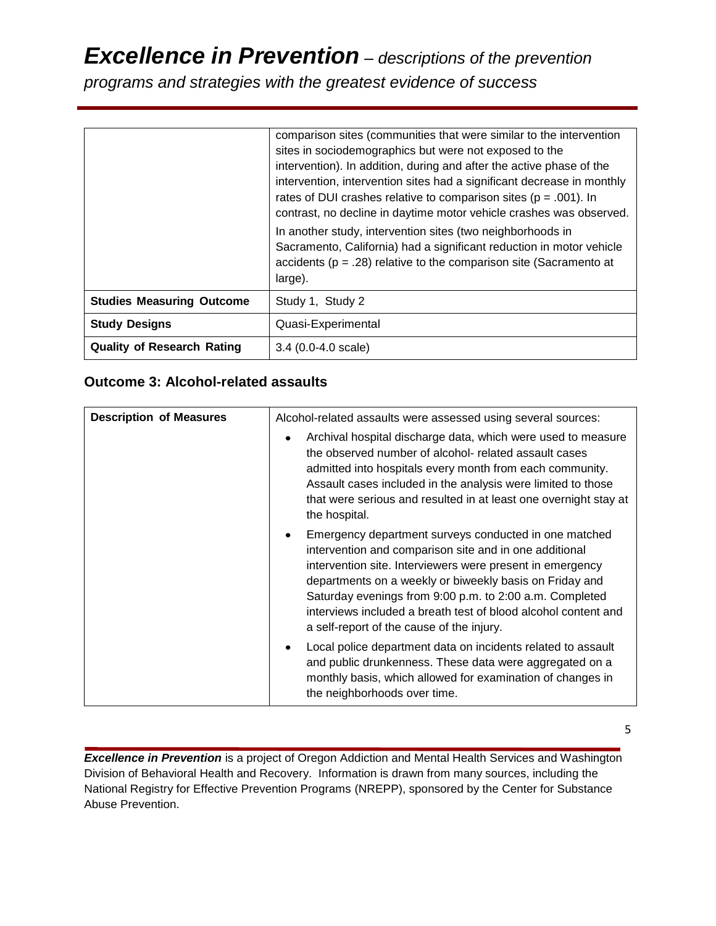*programs and strategies with the greatest evidence of success*

|                                   | comparison sites (communities that were similar to the intervention<br>sites in sociodemographics but were not exposed to the<br>intervention). In addition, during and after the active phase of the<br>intervention, intervention sites had a significant decrease in monthly<br>rates of DUI crashes relative to comparison sites ( $p = .001$ ). In<br>contrast, no decline in daytime motor vehicle crashes was observed.<br>In another study, intervention sites (two neighborhoods in<br>Sacramento, California) had a significant reduction in motor vehicle<br>accidents ( $p = .28$ ) relative to the comparison site (Sacramento at<br>large). |
|-----------------------------------|-----------------------------------------------------------------------------------------------------------------------------------------------------------------------------------------------------------------------------------------------------------------------------------------------------------------------------------------------------------------------------------------------------------------------------------------------------------------------------------------------------------------------------------------------------------------------------------------------------------------------------------------------------------|
| <b>Studies Measuring Outcome</b>  | Study 1, Study 2                                                                                                                                                                                                                                                                                                                                                                                                                                                                                                                                                                                                                                          |
| <b>Study Designs</b>              | Quasi-Experimental                                                                                                                                                                                                                                                                                                                                                                                                                                                                                                                                                                                                                                        |
| <b>Quality of Research Rating</b> | $3.4(0.0-4.0 \text{ scale})$                                                                                                                                                                                                                                                                                                                                                                                                                                                                                                                                                                                                                              |

### **Outcome 3: Alcohol-related assaults**

| <b>Description of Measures</b> | Alcohol-related assaults were assessed using several sources:                                                                                                                                                                                                                                                                                                                                                     |  |  |  |
|--------------------------------|-------------------------------------------------------------------------------------------------------------------------------------------------------------------------------------------------------------------------------------------------------------------------------------------------------------------------------------------------------------------------------------------------------------------|--|--|--|
|                                | Archival hospital discharge data, which were used to measure<br>the observed number of alcohol- related assault cases<br>admitted into hospitals every month from each community.<br>Assault cases included in the analysis were limited to those<br>that were serious and resulted in at least one overnight stay at<br>the hospital.                                                                            |  |  |  |
|                                | Emergency department surveys conducted in one matched<br>intervention and comparison site and in one additional<br>intervention site. Interviewers were present in emergency<br>departments on a weekly or biweekly basis on Friday and<br>Saturday evenings from 9:00 p.m. to 2:00 a.m. Completed<br>interviews included a breath test of blood alcohol content and<br>a self-report of the cause of the injury. |  |  |  |
|                                | Local police department data on incidents related to assault<br>and public drunkenness. These data were aggregated on a<br>monthly basis, which allowed for examination of changes in<br>the neighborhoods over time.                                                                                                                                                                                             |  |  |  |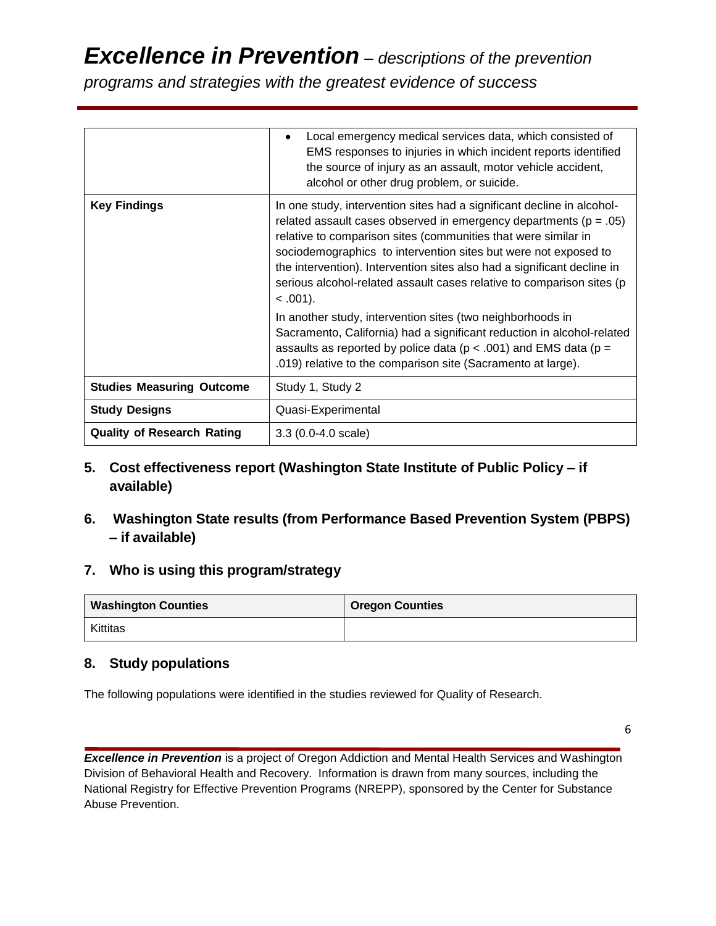*programs and strategies with the greatest evidence of success*

|                                   | Local emergency medical services data, which consisted of<br>$\bullet$<br>EMS responses to injuries in which incident reports identified<br>the source of injury as an assault, motor vehicle accident,<br>alcohol or other drug problem, or suicide.                                                                                                                                                                                                   |
|-----------------------------------|---------------------------------------------------------------------------------------------------------------------------------------------------------------------------------------------------------------------------------------------------------------------------------------------------------------------------------------------------------------------------------------------------------------------------------------------------------|
| <b>Key Findings</b>               | In one study, intervention sites had a significant decline in alcohol-<br>related assault cases observed in emergency departments ( $p = .05$ )<br>relative to comparison sites (communities that were similar in<br>sociodemographics to intervention sites but were not exposed to<br>the intervention). Intervention sites also had a significant decline in<br>serious alcohol-related assault cases relative to comparison sites (p<br>$< .001$ ). |
|                                   | In another study, intervention sites (two neighborhoods in<br>Sacramento, California) had a significant reduction in alcohol-related<br>assaults as reported by police data ( $p < .001$ ) and EMS data ( $p =$<br>.019) relative to the comparison site (Sacramento at large).                                                                                                                                                                         |
| <b>Studies Measuring Outcome</b>  | Study 1, Study 2                                                                                                                                                                                                                                                                                                                                                                                                                                        |
| <b>Study Designs</b>              | Quasi-Experimental                                                                                                                                                                                                                                                                                                                                                                                                                                      |
| <b>Quality of Research Rating</b> | $3.3(0.0-4.0 scale)$                                                                                                                                                                                                                                                                                                                                                                                                                                    |

- **5. Cost effectiveness report (Washington State Institute of Public Policy – if available)**
- **6. Washington State results (from Performance Based Prevention System (PBPS) – if available)**

### **7. Who is using this program/strategy**

| <b>Washington Counties</b> | <b>Oregon Counties</b> |
|----------------------------|------------------------|
| Kittitas                   |                        |

### **8. Study populations**

The following populations were identified in the studies reviewed for Quality of Research.

6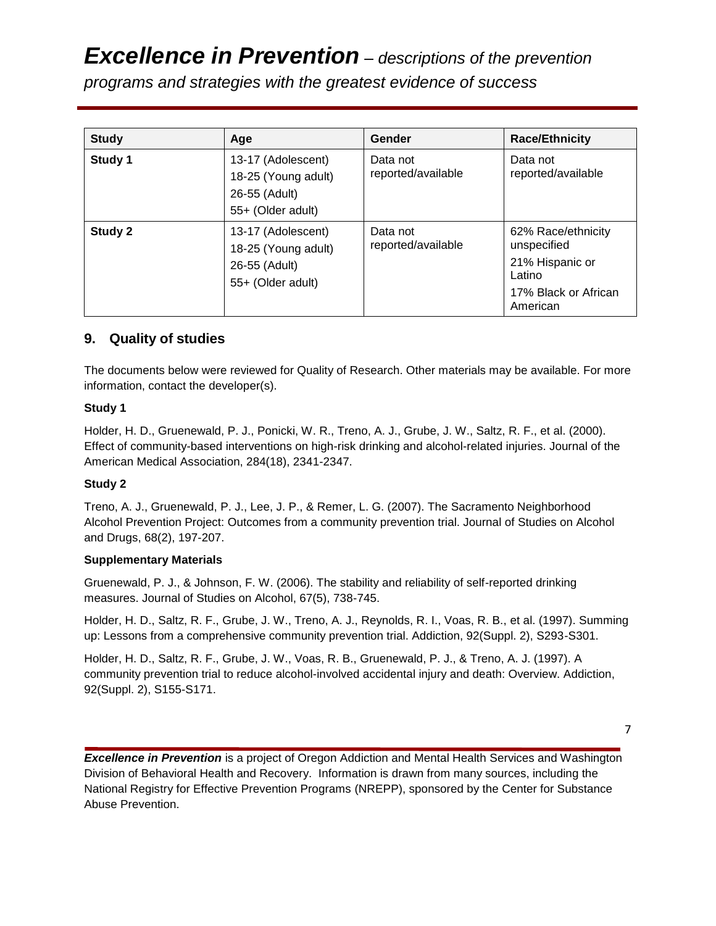*programs and strategies with the greatest evidence of success*

| <b>Study</b> | Age                                                                             | Gender                         | <b>Race/Ethnicity</b>                                                                              |
|--------------|---------------------------------------------------------------------------------|--------------------------------|----------------------------------------------------------------------------------------------------|
| Study 1      | 13-17 (Adolescent)<br>18-25 (Young adult)<br>26-55 (Adult)<br>55+ (Older adult) | Data not<br>reported/available | Data not<br>reported/available                                                                     |
| Study 2      | 13-17 (Adolescent)<br>18-25 (Young adult)<br>26-55 (Adult)<br>55+ (Older adult) | Data not<br>reported/available | 62% Race/ethnicity<br>unspecified<br>21% Hispanic or<br>Latino<br>17% Black or African<br>American |

### **9. Quality of studies**

The documents below were reviewed for Quality of Research. Other materials may be available. For more information, contact the developer(s).

### **Study 1**

Holder, H. D., Gruenewald, P. J., Ponicki, W. R., Treno, A. J., Grube, J. W., Saltz, R. F., et al. (2000). Effect of community-based interventions on high-risk drinking and alcohol-related injuries. Journal of the American Medical Association, 284(18), 2341-2347.

### **Study 2**

Treno, A. J., Gruenewald, P. J., Lee, J. P., & Remer, L. G. (2007). The Sacramento Neighborhood Alcohol Prevention Project: Outcomes from a community prevention trial. Journal of Studies on Alcohol and Drugs, 68(2), 197-207.

### **Supplementary Materials**

Gruenewald, P. J., & Johnson, F. W. (2006). The stability and reliability of self-reported drinking measures. Journal of Studies on Alcohol, 67(5), 738-745.

Holder, H. D., Saltz, R. F., Grube, J. W., Treno, A. J., Reynolds, R. I., Voas, R. B., et al. (1997). Summing up: Lessons from a comprehensive community prevention trial. Addiction, 92(Suppl. 2), S293-S301.

Holder, H. D., Saltz, R. F., Grube, J. W., Voas, R. B., Gruenewald, P. J., & Treno, A. J. (1997). A community prevention trial to reduce alcohol-involved accidental injury and death: Overview. Addiction, 92(Suppl. 2), S155-S171.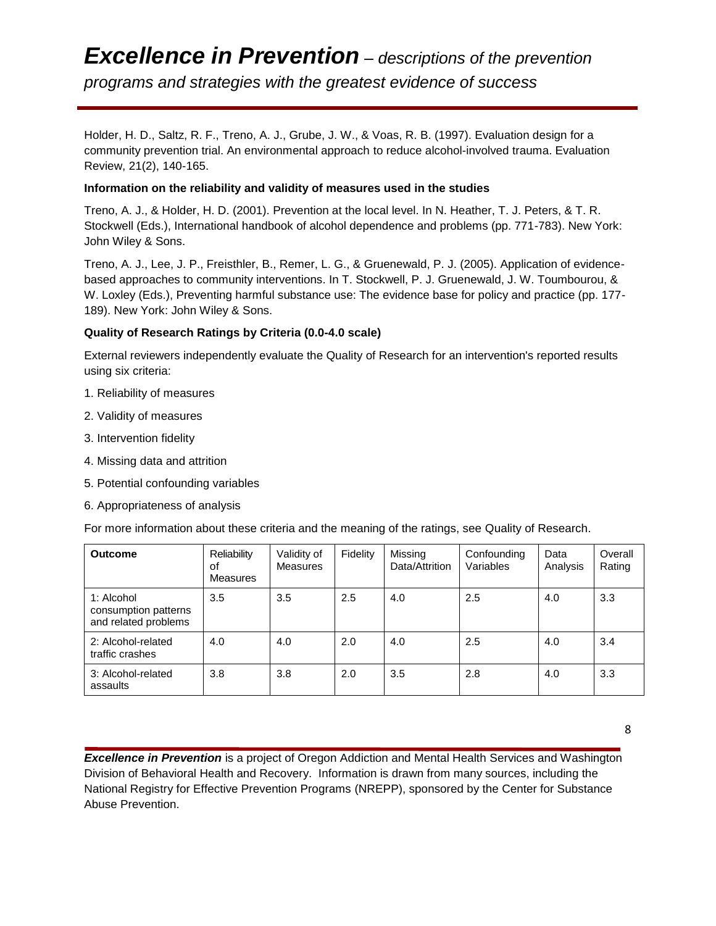### *Excellence in Prevention – descriptions of the prevention programs and strategies with the greatest evidence of success*

Holder, H. D., Saltz, R. F., Treno, A. J., Grube, J. W., & Voas, R. B. (1997). Evaluation design for a community prevention trial. An environmental approach to reduce alcohol-involved trauma. Evaluation Review, 21(2), 140-165.

#### **Information on the reliability and validity of measures used in the studies**

Treno, A. J., & Holder, H. D. (2001). Prevention at the local level. In N. Heather, T. J. Peters, & T. R. Stockwell (Eds.), International handbook of alcohol dependence and problems (pp. 771-783). New York: John Wiley & Sons.

Treno, A. J., Lee, J. P., Freisthler, B., Remer, L. G., & Gruenewald, P. J. (2005). Application of evidencebased approaches to community interventions. In T. Stockwell, P. J. Gruenewald, J. W. Toumbourou, & W. Loxley (Eds.), Preventing harmful substance use: The evidence base for policy and practice (pp. 177- 189). New York: John Wiley & Sons.

### **Quality of Research Ratings by Criteria (0.0-4.0 scale)**

External reviewers independently evaluate the Quality of Research for an intervention's reported results using six criteria:

- 1. Reliability of measures
- 2. Validity of measures
- 3. Intervention fidelity
- 4. Missing data and attrition
- 5. Potential confounding variables
- 6. Appropriateness of analysis

For more information about these criteria and the meaning of the ratings, see Quality of Research.

| <b>Outcome</b>                                             | Reliability<br>οf<br>Measures | Validity of<br><b>Measures</b> | Fidelity | Missing<br>Data/Attrition | Confounding<br>Variables | Data<br>Analysis | Overall<br>Rating |
|------------------------------------------------------------|-------------------------------|--------------------------------|----------|---------------------------|--------------------------|------------------|-------------------|
| 1: Alcohol<br>consumption patterns<br>and related problems | 3.5                           | 3.5                            | 2.5      | 4.0                       | 2.5                      | 4.0              | 3.3               |
| 2: Alcohol-related<br>traffic crashes                      | 4.0                           | 4.0                            | 2.0      | 4.0                       | 2.5                      | 4.0              | 3.4               |
| 3: Alcohol-related<br>assaults                             | 3.8                           | 3.8                            | 2.0      | 3.5                       | 2.8                      | 4.0              | 3.3               |

8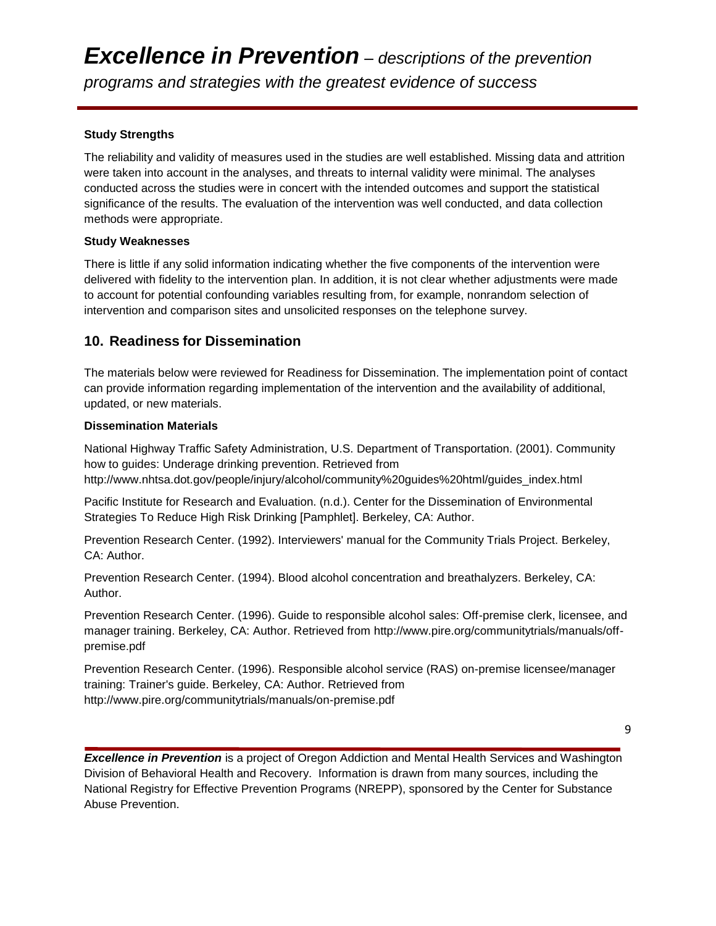### **Study Strengths**

The reliability and validity of measures used in the studies are well established. Missing data and attrition were taken into account in the analyses, and threats to internal validity were minimal. The analyses conducted across the studies were in concert with the intended outcomes and support the statistical significance of the results. The evaluation of the intervention was well conducted, and data collection methods were appropriate.

### **Study Weaknesses**

There is little if any solid information indicating whether the five components of the intervention were delivered with fidelity to the intervention plan. In addition, it is not clear whether adjustments were made to account for potential confounding variables resulting from, for example, nonrandom selection of intervention and comparison sites and unsolicited responses on the telephone survey.

### **10. Readiness for Dissemination**

The materials below were reviewed for Readiness for Dissemination. The implementation point of contact can provide information regarding implementation of the intervention and the availability of additional, updated, or new materials.

### **Dissemination Materials**

National Highway Traffic Safety Administration, U.S. Department of Transportation. (2001). Community how to guides: Underage drinking prevention. Retrieved from http://www.nhtsa.dot.gov/people/injury/alcohol/community%20guides%20html/guides\_index.html

Pacific Institute for Research and Evaluation. (n.d.). Center for the Dissemination of Environmental Strategies To Reduce High Risk Drinking [Pamphlet]. Berkeley, CA: Author.

Prevention Research Center. (1992). Interviewers' manual for the Community Trials Project. Berkeley, CA: Author.

Prevention Research Center. (1994). Blood alcohol concentration and breathalyzers. Berkeley, CA: Author.

Prevention Research Center. (1996). Guide to responsible alcohol sales: Off-premise clerk, licensee, and manager training. Berkeley, CA: Author. Retrieved from http://www.pire.org/communitytrials/manuals/offpremise.pdf

Prevention Research Center. (1996). Responsible alcohol service (RAS) on-premise licensee/manager training: Trainer's guide. Berkeley, CA: Author. Retrieved from http://www.pire.org/communitytrials/manuals/on-premise.pdf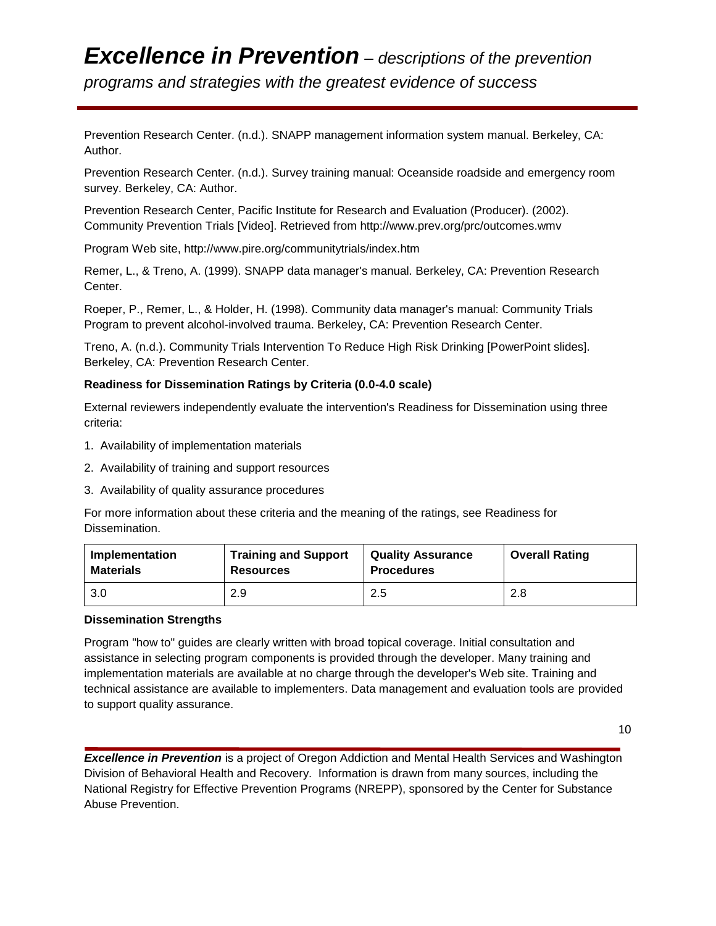*programs and strategies with the greatest evidence of success*

Prevention Research Center. (n.d.). SNAPP management information system manual. Berkeley, CA: Author.

Prevention Research Center. (n.d.). Survey training manual: Oceanside roadside and emergency room survey. Berkeley, CA: Author.

Prevention Research Center, Pacific Institute for Research and Evaluation (Producer). (2002). Community Prevention Trials [Video]. Retrieved from http://www.prev.org/prc/outcomes.wmv

Program Web site, http://www.pire.org/communitytrials/index.htm

Remer, L., & Treno, A. (1999). SNAPP data manager's manual. Berkeley, CA: Prevention Research Center.

Roeper, P., Remer, L., & Holder, H. (1998). Community data manager's manual: Community Trials Program to prevent alcohol-involved trauma. Berkeley, CA: Prevention Research Center.

Treno, A. (n.d.). Community Trials Intervention To Reduce High Risk Drinking [PowerPoint slides]. Berkeley, CA: Prevention Research Center.

### **Readiness for Dissemination Ratings by Criteria (0.0-4.0 scale)**

External reviewers independently evaluate the intervention's Readiness for Dissemination using three criteria:

- 1. Availability of implementation materials
- 2. Availability of training and support resources
- 3. Availability of quality assurance procedures

For more information about these criteria and the meaning of the ratings, see Readiness for Dissemination.

| Implementation | <b>Training and Support</b> | <b>Quality Assurance</b> | <b>Overall Rating</b> |
|----------------|-----------------------------|--------------------------|-----------------------|
| Materials      | <b>Resources</b>            | <b>Procedures</b>        |                       |
| 3.0            | 2.9                         | 2.5                      | 2.8                   |

### **Dissemination Strengths**

Program "how to" guides are clearly written with broad topical coverage. Initial consultation and assistance in selecting program components is provided through the developer. Many training and implementation materials are available at no charge through the developer's Web site. Training and technical assistance are available to implementers. Data management and evaluation tools are provided to support quality assurance.

10